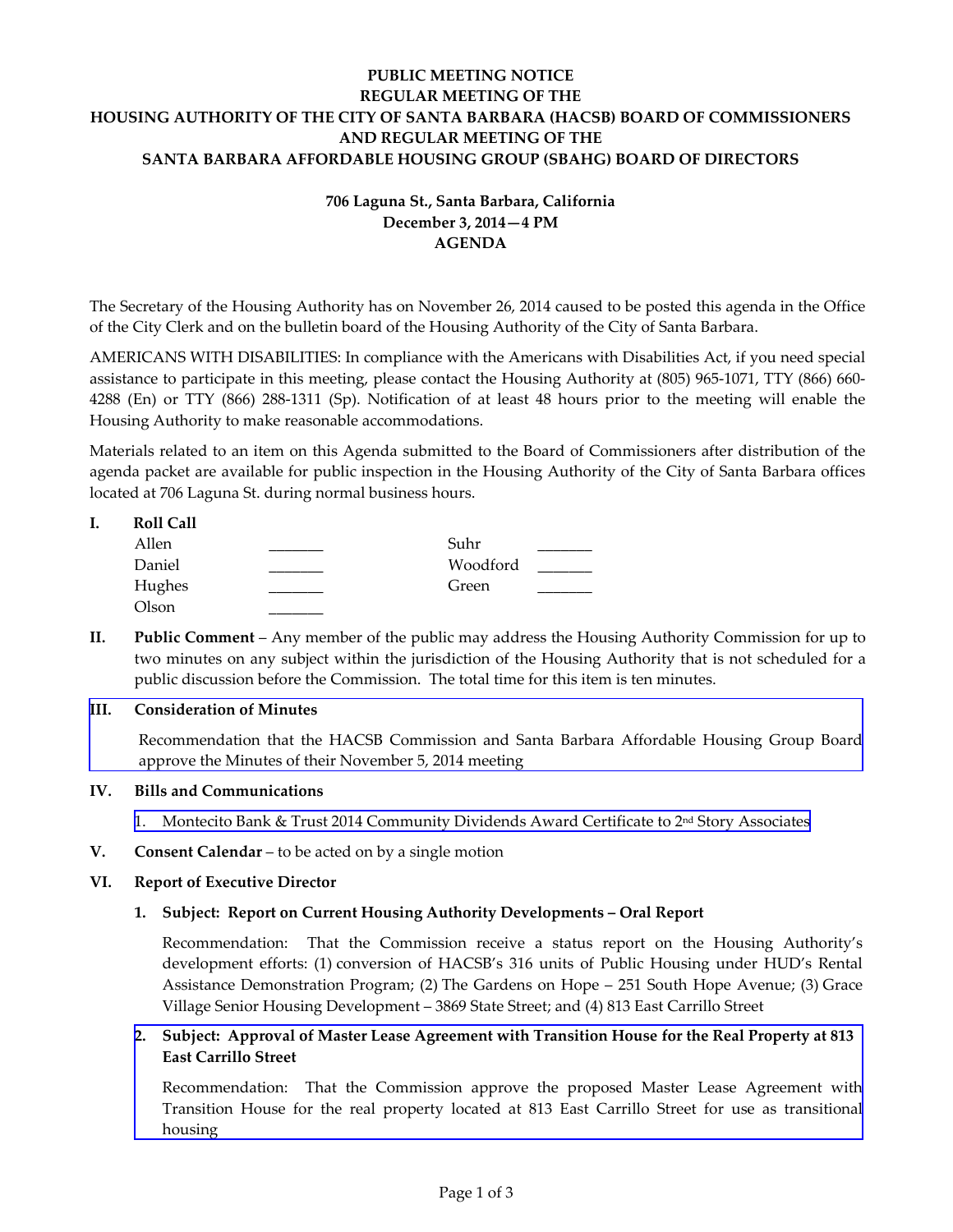# **PUBLIC MEETING NOTICE REGULAR MEETING OF THE HOUSING AUTHORITY OF THE CITY OF SANTA BARBARA (HACSB) BOARD OF COMMISSIONERS AND REGULAR MEETING OF THE SANTA BARBARA AFFORDABLE HOUSING GROUP (SBAHG) BOARD OF DIRECTORS**

# **706 Laguna St., Santa Barbara, California December 3, 2014—4 PM AGENDA**

The Secretary of the Housing Authority has on November 26, 2014 caused to be posted this agenda in the Office of the City Clerk and on the bulletin board of the Housing Authority of the City of Santa Barbara.

AMERICANS WITH DISABILITIES: In compliance with the Americans with Disabilities Act, if you need special assistance to participate in this meeting, please contact the Housing Authority at (805) 965-1071, TTY (866) 660- 4288 (En) or TTY (866) 288-1311 (Sp). Notification of at least 48 hours prior to the meeting will enable the Housing Authority to make reasonable accommodations.

Materials related to an item on this Agenda submitted to the Board of Commissioners after distribution of the agenda packet are available for public inspection in the Housing Authority of the City of Santa Barbara offices located at 706 Laguna St. during normal business hours.

#### **I. Roll Call**

| Allen  | Suhr     |  |
|--------|----------|--|
| Daniel | Woodford |  |
| Hughes | Green    |  |
| Olson  |          |  |

**II. Public Comment** – Any member of the public may address the Housing Authority Commission for up to two minutes on any subject within the jurisdiction of the Housing Authority that is not scheduled for a public discussion before the Commission. The total time for this item is ten minutes.

## **III. Consideration of Minutes**

[Recommendation that the HACSB Commission and Santa Barbara Affordable Housing Group Board](http://www.hacsb.org/Library/agendas_minutes/2014/agenda_packet/Agenda_Packet_2014_12_03/item_III_I_2014_12_03.pdf) approve the Minutes of their November 5, 2014 meeting

## **IV. Bills and Communications**

- 1. [Montecito Bank & Trust 2014 Community Dividends Award Certificate to 2nd Story Associates](http://www.hacsb.org/Library/agendas_minutes/2014/agenda_packet/Agenda_Packet_2014_12_03/item_IV_I_2014_12_03.pdf)
- **V. Consent Calendar** to be acted on by a single motion

## **VI. Report of Executive Director**

## **1. Subject: Report on Current Housing Authority Developments – Oral Report**

Recommendation: That the Commission receive a status report on the Housing Authority's development efforts: (1) conversion of HACSB's 316 units of Public Housing under HUD's Rental Assistance Demonstration Program; (2) The Gardens on Hope – 251 South Hope Avenue; (3) Grace Village Senior Housing Development – 3869 State Street; and (4) 813 East Carrillo Street

## **2. Subject: Approval of Master Lease Agreement with Transition House for the Real Property at 813 East Carrillo Street**

[Recommendation: That the Commission approve the proposed Master Lease Agreement with](http://www.hacsb.org/Library/agendas_minutes/2014/agenda_packet/Agenda_Packet_2014_12_03/item_VI_II_2014_12_03.pdf) Transition House for the real property located at 813 East Carrillo Street for use as transitional housing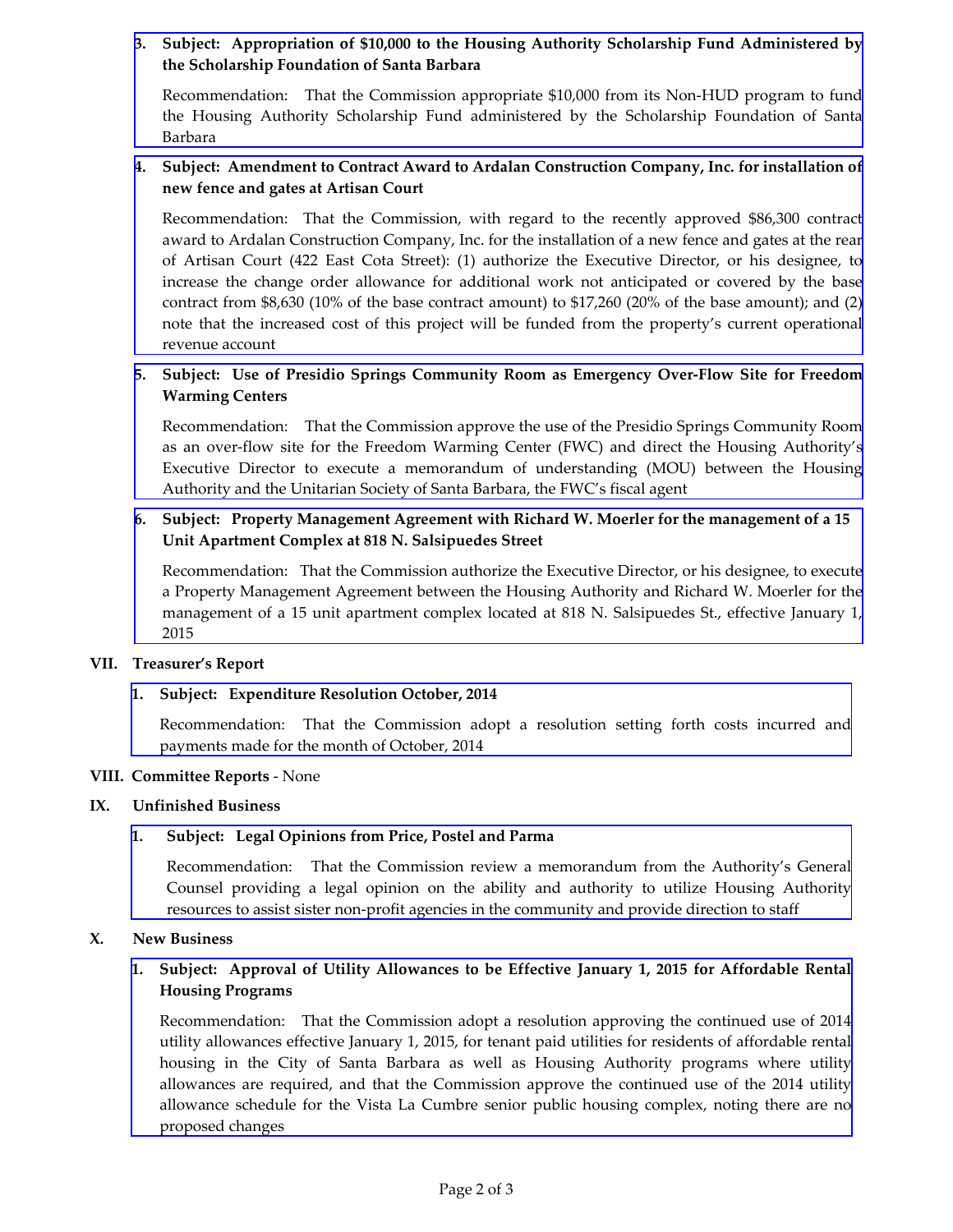# **3. [Subject: Appropriation of \\$10,000 to the Housing Authority Scholarship Fund Administered by](http://www.hacsb.org/Library/agendas_minutes/2014/agenda_packet/Agenda_Packet_2014_12_03/item_VI_III_2014_12_03.pdf) the Scholarship Foundation of Santa Barbara**

Recommendation: That the Commission appropriate \$10,000 from its Non-HUD program to fund the Housing Authority Scholarship Fund administered by the Scholarship Foundation of Santa Barbara

## **4. [Subject: Amendment to Contract Award to Ardalan Construction Company, Inc. for installation of](http://www.hacsb.org/Library/agendas_minutes/2014/agenda_packet/Agenda_Packet_2014_12_03/item_VI_IV_2014_12_03.pdf) new fence and gates at Artisan Court**

Recommendation: That the Commission, with regard to the recently approved \$86,300 contract award to Ardalan Construction Company, Inc. for the installation of a new fence and gates at the rear of Artisan Court (422 East Cota Street): (1) authorize the Executive Director, or his designee, to increase the change order allowance for additional work not anticipated or covered by the base contract from \$8,630 (10% of the base contract amount) to \$17,260 (20% of the base amount); and (2) note that the increased cost of this project will be funded from the property's current operational revenue account

## **5. [Subject: Use of Presidio Springs Community Room as Emergency Over-Flow Site for Freedom](http://www.hacsb.org/Library/agendas_minutes/2014/agenda_packet/Agenda_Packet_2014_12_03/item_VI_V_2014_12_03.pdf)  Warming Centers**

Recommendation: That the Commission approve the use of the Presidio Springs Community Room as an over-flow site for the Freedom Warming Center (FWC) and direct the Housing Authority's Executive Director to execute a memorandum of understanding (MOU) between the Housing Authority and the Unitarian Society of Santa Barbara, the FWC's fiscal agent

# **6. Subject: Property Management Agreement with Richard W. Moerler for the management of a 15 Unit Apartment Complex at 818 N. Salsipuedes Street**

[Recommendation: That the Commission authorize the Executive Director, or his designee, to execute](http://www.hacsb.org/Library/agendas_minutes/2014/agenda_packet/Agenda_Packet_2014_12_03/item_VI_VI_2014_12_03.pdf) a Property Management Agreement between the Housing Authority and Richard W. Moerler for the management of a 15 unit apartment complex located at 818 N. Salsipuedes St., effective January 1, 2015

#### **VII. Treasurer's Report**

## **1. Subject: Expenditure Resolution October, 2014**

[Recommendation: That the Commission adopt a resolution setting forth costs incurred and](http://www.hacsb.org/Library/agendas_minutes/2014/agenda_packet/Agenda_Packet_2014_12_03/item_VII_I_2014_12_03.pdf) payments made for the month of October, 2014

#### **VIII. Committee Reports** - None

#### **IX. Unfinished Business**

## **1. Subject: Legal Opinions from Price, Postel and Parma**

[Recommendation: That the Commission review a memorandum from the Authority's General](http://www.hacsb.org/Library/agendas_minutes/2014/agenda_packet/Agenda_Packet_2014_12_03/item_IX_I_2014_12_03.pdf) Counsel providing a legal opinion on the ability and authority to utilize Housing Authority resources to assist sister non-profit agencies in the community and provide direction to staff

#### **X. New Business**

## **[1. Subject: Approval of Utility Allowances to be Effective January 1, 2015 for Affordable Rental](http://www.hacsb.org/Library/agendas_minutes/2014/agenda_packet/Agenda_Packet_2014_12_03/item_X_I_2014_12_03.pdf) Housing Programs**

Recommendation: That the Commission adopt a resolution approving the continued use of 2014 utility allowances effective January 1, 2015, for tenant paid utilities for residents of affordable rental housing in the City of Santa Barbara as well as Housing Authority programs where utility allowances are required, and that the Commission approve the continued use of the 2014 utility allowance schedule for the Vista La Cumbre senior public housing complex, noting there are no proposed changes